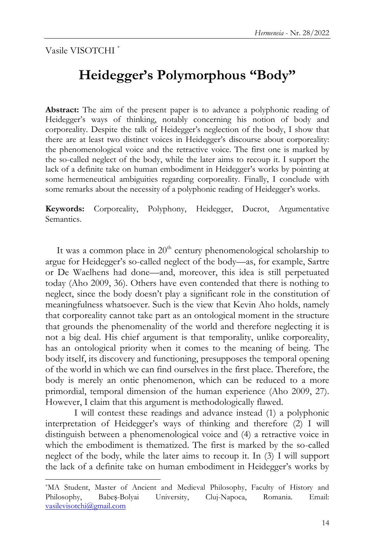Vasile VISOTCHI \*

l

# **Heidegger's Polymorphous "Body"**

**Abstract:** The aim of the present paper is to advance a polyphonic reading of Heidegger's ways of thinking, notably concerning his notion of body and corporeality. Despite the talk of Heidegger"s neglection of the body, I show that there are at least two distinct voices in Heidegger"s discourse about corporeality: the phenomenological voice and the retractive voice. The first one is marked by the so-called neglect of the body, while the later aims to recoup it. I support the lack of a definite take on human embodiment in Heidegger's works by pointing at some hermeneutical ambiguities regarding corporeality. Finally, I conclude with some remarks about the necessity of a polyphonic reading of Heidegger's works.

**Keywords:** Corporeality, Polyphony, Heidegger, Ducrot, Argumentative Semantics.

It was a common place in  $20<sup>th</sup>$  century phenomenological scholarship to argue for Heidegger's so-called neglect of the body—as, for example, Sartre or De Waelhens had done—and, moreover, this idea is still perpetuated today (Aho 2009, 36). Others have even contended that there is nothing to neglect, since the body doesn"t play a significant role in the constitution of meaningfulness whatsoever. Such is the view that Kevin Aho holds, namely that corporeality cannot take part as an ontological moment in the structure that grounds the phenomenality of the world and therefore neglecting it is not a big deal. His chief argument is that temporality, unlike corporeality, has an ontological priority when it comes to the meaning of being. The body itself, its discovery and functioning, presupposes the temporal opening of the world in which we can find ourselves in the first place. Therefore, the body is merely an ontic phenomenon, which can be reduced to a more primordial, temporal dimension of the human experience (Aho 2009, 27). However, I claim that this argument is methodologically flawed.

I will contest these readings and advance instead (1) a polyphonic interpretation of Heidegger's ways of thinking and therefore (2) I will distinguish between a phenomenological voice and (4) a retractive voice in which the embodiment is thematized. The first is marked by the so-called neglect of the body, while the later aims to recoup it. In (3) I will support the lack of a definite take on human embodiment in Heidegger's works by

<sup>\*</sup>MA Student, Master of Ancient and Medieval Philosophy, Faculty of History and Philosophy, Babeș-Bolyai University, Cluj-Napoca, Romania. Email: [vasilevisotchi@gmail.com](mailto:vasilevisotchi@gmail.com)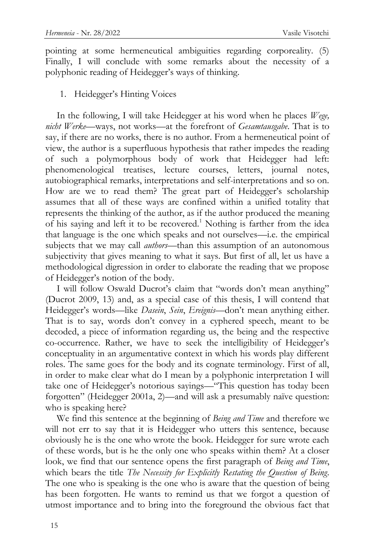pointing at some hermeneutical ambiguities regarding corporeality. (5) Finally, I will conclude with some remarks about the necessity of a polyphonic reading of Heidegger's ways of thinking.

### 1. Heidegger"s Hinting Voices

In the following, I will take Heidegger at his word when he places *Wege, nicht Werke*—ways, not works—at the forefront of *Gesamtausgabe*. That is to say, if there are no works, there is no author. From a hermeneutical point of view, the author is a superfluous hypothesis that rather impedes the reading of such a polymorphous body of work that Heidegger had left: phenomenological treatises, lecture courses, letters, journal notes, autobiographical remarks, interpretations and self-interpretations and so on. How are we to read them? The great part of Heidegger's scholarship assumes that all of these ways are confined within a unified totality that represents the thinking of the author, as if the author produced the meaning of his saying and left it to be recovered.<sup>1</sup> Nothing is farther from the idea that language is the one which speaks and not ourselves—i.e. the empirical subjects that we may call *authors*—than this assumption of an autonomous subjectivity that gives meaning to what it says. But first of all, let us have a methodological digression in order to elaborate the reading that we propose of Heidegger's notion of the body.

I will follow Oswald Ducrot's claim that "words don't mean anything" (Ducrot 2009, 13) and, as a special case of this thesis, I will contend that Heidegger's words-like *Dasein*, *Sein*, *Ereignis*-don't mean anything either. That is to say, words don"t convey in a cyphered speech, meant to be decoded, a piece of information regarding us, the being and the respective co-occurrence. Rather, we have to seek the intelligibility of Heidegger"s conceptuality in an argumentative context in which his words play different roles. The same goes for the body and its cognate terminology. First of all, in order to make clear what do I mean by a polyphonic interpretation I will take one of Heidegger's notorious sayings—"This question has today been forgotten" (Heidegger 2001a, 2)—and will ask a presumably naïve question: who is speaking here?

We find this sentence at the beginning of *Being and Time* and therefore we will not err to say that it is Heidegger who utters this sentence, because obviously he is the one who wrote the book. Heidegger for sure wrote each of these words, but is he the only one who speaks within them? At a closer look, we find that our sentence opens the first paragraph of *Being and Time*, which bears the title *The Necessity for Explicitly Restating the Question of Being*. The one who is speaking is the one who is aware that the question of being has been forgotten. He wants to remind us that we forgot a question of utmost importance and to bring into the foreground the obvious fact that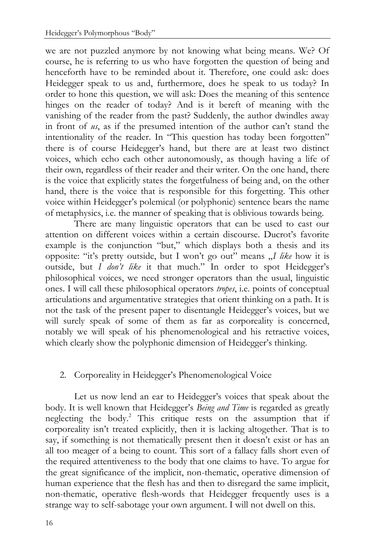we are not puzzled anymore by not knowing what being means. We? Of course, he is referring to us who have forgotten the question of being and henceforth have to be reminded about it. Therefore, one could ask: does Heidegger speak to us and, furthermore, does he speak to us today? In order to hone this question, we will ask: Does the meaning of this sentence hinges on the reader of today? And is it bereft of meaning with the vanishing of the reader from the past? Suddenly, the author dwindles away in front of *us*, as if the presumed intention of the author can't stand the intentionality of the reader. In "This question has today been forgotten" there is of course Heidegger"s hand, but there are at least two distinct voices, which echo each other autonomously, as though having a life of their own, regardless of their reader and their writer. On the one hand, there is the voice that explicitly states the forgetfulness of being and, on the other hand, there is the voice that is responsible for this forgetting. This other voice within Heidegger's polemical (or polyphonic) sentence bears the name of metaphysics, i.e. the manner of speaking that is oblivious towards being.

There are many linguistic operators that can be used to cast our attention on different voices within a certain discourse. Ducrot's favorite example is the conjunction "but," which displays both a thesis and its opposite: "it's pretty outside, but I won't go out" means "*I like* how it is outside, but *I don't like* it that much." In order to spot Heidegger's philosophical voices, we need stronger operators than the usual, linguistic ones. I will call these philosophical operators *tropes*, i.e. points of conceptual articulations and argumentative strategies that orient thinking on a path. It is not the task of the present paper to disentangle Heidegger"s voices, but we will surely speak of some of them as far as corporeality is concerned, notably we will speak of his phenomenological and his retractive voices, which clearly show the polyphonic dimension of Heidegger's thinking.

# 2. Corporeality in Heidegger's Phenomenological Voice

Let us now lend an ear to Heidegger's voices that speak about the body. It is well known that Heidegger's *Being and Time* is regarded as greatly neglecting the body.<sup>2</sup> This critique rests on the assumption that if corporeality isn"t treated explicitly, then it is lacking altogether. That is to say, if something is not thematically present then it doesn't exist or has an all too meager of a being to count. This sort of a fallacy falls short even of the required attentiveness to the body that one claims to have. To argue for the great significance of the implicit, non-thematic, operative dimension of human experience that the flesh has and then to disregard the same implicit, non-thematic, operative flesh-words that Heidegger frequently uses is a strange way to self-sabotage your own argument. I will not dwell on this.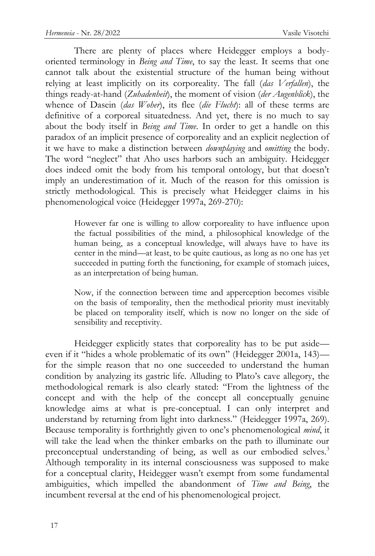There are plenty of places where Heidegger employs a bodyoriented terminology in *Being and Time*, to say the least. It seems that one cannot talk about the existential structure of the human being without relying at least implicitly on its corporeality. The fall (*das Verfallen*), the things ready-at-hand (*Zuhadenheit*), the moment of vision (*der Augenblick*), the whence of Dasein (*das Woher*), its flee (*die Flucht*): all of these terms are definitive of a corporeal situatedness. And yet, there is no much to say about the body itself in *Being and Time*. In order to get a handle on this paradox of an implicit presence of corporeality and an explicit neglection of it we have to make a distinction between *downplaying* and *omitting* the body. The word "neglect" that Aho uses harbors such an ambiguity. Heidegger does indeed omit the body from his temporal ontology, but that doesn"t imply an underestimation of it. Much of the reason for this omission is strictly methodological. This is precisely what Heidegger claims in his phenomenological voice (Heidegger 1997a, 269-270):

> However far one is willing to allow corporeality to have influence upon the factual possibilities of the mind, a philosophical knowledge of the human being, as a conceptual knowledge, will always have to have its center in the mind—at least, to be quite cautious, as long as no one has yet succeeded in putting forth the functioning, for example of stomach juices, as an interpretation of being human.

> Now, if the connection between time and apperception becomes visible on the basis of temporality, then the methodical priority must inevitably be placed on temporality itself, which is now no longer on the side of sensibility and receptivity.

Heidegger explicitly states that corporeality has to be put aside even if it "hides a whole problematic of its own" (Heidegger 2001a, 143) for the simple reason that no one succeeded to understand the human condition by analyzing its gastric life. Alluding to Plato's cave allegory, the methodological remark is also clearly stated: "From the lightness of the concept and with the help of the concept all conceptually genuine knowledge aims at what is pre-conceptual. I can only interpret and understand by returning from light into darkness." (Heidegger 1997a, 269). Because temporality is forthrightly given to one"s phenomenological *mind*, it will take the lead when the thinker embarks on the path to illuminate our preconceptual understanding of being, as well as our embodied selves.<sup>3</sup> Although temporality in its internal consciousness was supposed to make for a conceptual clarity, Heidegger wasn't exempt from some fundamental ambiguities, which impelled the abandonment of *Time and Being*, the incumbent reversal at the end of his phenomenological project.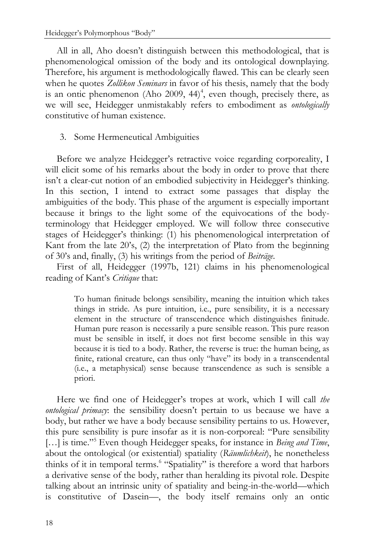All in all, Aho doesn"t distinguish between this methodological, that is phenomenological omission of the body and its ontological downplaying. Therefore, his argument is methodologically flawed. This can be clearly seen when he quotes *Zollikon Seminars* in favor of his thesis, namely that the body is an ontic phenomenon (Aho 2009,  $44$ )<sup>4</sup>, even though, precisely there, as we will see, Heidegger unmistakably refers to embodiment as *ontologically* constitutive of human existence.

## 3. Some Hermeneutical Ambiguities

Before we analyze Heidegger's retractive voice regarding corporeality, I will elicit some of his remarks about the body in order to prove that there isn't a clear-cut notion of an embodied subjectivity in Heidegger's thinking. In this section, I intend to extract some passages that display the ambiguities of the body. This phase of the argument is especially important because it brings to the light some of the equivocations of the bodyterminology that Heidegger employed. We will follow three consecutive stages of Heidegger's thinking: (1) his phenomenological interpretation of Kant from the late 20"s, (2) the interpretation of Plato from the beginning of 30"s and, finally, (3) his writings from the period of *Beiträge*.

First of all, Heidegger (1997b, 121) claims in his phenomenological reading of Kant"s *Critique* that:

> To human finitude belongs sensibility, meaning the intuition which takes things in stride. As pure intuition, i.e., pure sensibility, it is a necessary element in the structure of transcendence which distinguishes finitude. Human pure reason is necessarily a pure sensible reason. This pure reason must be sensible in itself, it does not first become sensible in this way because it is tied to a body. Rather, the reverse is true: the human being, as finite, rational creature, can thus only "have" its body in a transcendental (i.e., a metaphysical) sense because transcendence as such is sensible a priori.

Here we find one of Heidegger's tropes at work, which I will call *the ontological primacy*: the sensibility doesn"t pertain to us because we have a body, but rather we have a body because sensibility pertains to us. However, this pure sensibility is pure insofar as it is non-corporeal: "Pure sensibility [...] is time."<sup>5</sup> Even though Heidegger speaks, for instance in *Being and Time*, about the ontological (or existential) spatiality (*Räumlichkeit*), he nonetheless thinks of it in temporal terms.<sup>6</sup> "Spatiality" is therefore a word that harbors a derivative sense of the body, rather than heralding its pivotal role. Despite talking about an intrinsic unity of spatiality and being-in-the-world—which is constitutive of Dasein—, the body itself remains only an ontic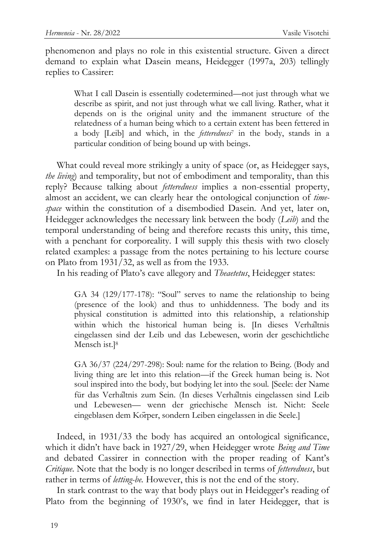phenomenon and plays no role in this existential structure. Given a direct demand to explain what Dasein means, Heidegger (1997a, 203) tellingly replies to Cassirer:

> What I call Dasein is essentially codetermined—not just through what we describe as spirit, and not just through what we call living. Rather, what it depends on is the original unity and the immanent structure of the relatedness of a human being which to a certain extent has been fettered in a body [Leib] and which, in the *fetteredness*<sup>7</sup> in the body, stands in a particular condition of being bound up with beings.

What could reveal more strikingly a unity of space (or, as Heidegger says, *the living*) and temporality, but not of embodiment and temporality, than this reply? Because talking about *fetteredness* implies a non-essential property, almost an accident, we can clearly hear the ontological conjunction of *timespace* within the constitution of a disembodied Dasein. And yet, later on, Heidegger acknowledges the necessary link between the body (*Leib*) and the temporal understanding of being and therefore recasts this unity, this time, with a penchant for corporeality. I will supply this thesis with two closely related examples: a passage from the notes pertaining to his lecture course on Plato from 1931/32, as well as from the 1933.

In his reading of Plato"s cave allegory and *Theaetetus*, Heidegger states:

GA 34 (129/177-178): "Soul" serves to name the relationship to being (presence of the look) and thus to unhiddenness. The body and its physical constitution is admitted into this relationship, a relationship within which the historical human being is. [In dieses Verhaltnis eingelassen sind der Leib und das Lebewesen, worin der geschichtliche Mensch ist.]<sup>8</sup>

GA 36/37 (224/297-298): Soul: name for the relation to Being. (Body and living thing are let into this relation—if the Greek human being is. Not soul inspired into the body, but bodying let into the soul. [Seele: der Name für das Verhaltnis zum Sein. (In dieses Verhaltnis eingelassen sind Leib und Lebewesen— wenn der griechische Mensch ist. Nicht: Seele eingeblasen dem Korper, sondern Leiben eingelassen in die Seele.]

Indeed, in 1931/33 the body has acquired an ontological significance, which it didn"t have back in 1927/29, when Heidegger wrote *Being and Time* and debated Cassirer in connection with the proper reading of Kant's *Critique*. Note that the body is no longer described in terms of *fetteredness*, but rather in terms of *letting-be.* However, this is not the end of the story.

In stark contrast to the way that body plays out in Heidegger's reading of Plato from the beginning of 1930"s, we find in later Heidegger, that is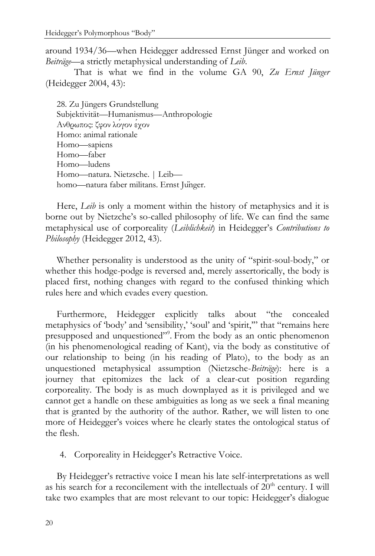around 1934/36—when Heidegger addressed Ernst Jünger and worked on *Beiträge*—a strictly metaphysical understanding of *Leib*.

That is what we find in the volume GA 90, *Zu Ernst Jünger*  (Heidegger 2004, 43):

28. Zu Jüngers Grundstellung Subjektivität—Humanismus—Anthropologie Ανθρωπος: ζφον λόγον έγον Homo: animal rationale Homo—sapiens Homo—faber Homo—ludens Homo—natura. Nietzsche. | Leib homo—natura faber militans. Ernst Junger.

Here, *Leib* is only a moment within the history of metaphysics and it is borne out by Nietzche"s so-called philosophy of life. We can find the same metaphysical use of corporeality (*Leiblichkeit*) in Heidegger"s *Contributions to Philosophy* (Heidegger 2012, 43).

Whether personality is understood as the unity of "spirit-soul-body," or whether this hodge-podge is reversed and, merely assertorically, the body is placed first, nothing changes with regard to the confused thinking which rules here and which evades every question.

Furthermore, Heidegger explicitly talks about "the concealed metaphysics of 'body' and 'sensibility,' 'soul' and 'spirit,"' that "remains here presupposed and unquestioned"<sup>9</sup>. From the body as an ontic phenomenon (in his phenomenological reading of Kant), via the body as constitutive of our relationship to being (in his reading of Plato), to the body as an unquestioned metaphysical assumption (Nietzsche-*Beiträge*): here is a journey that epitomizes the lack of a clear-cut position regarding corporeality. The body is as much downplayed as it is privileged and we cannot get a handle on these ambiguities as long as we seek a final meaning that is granted by the authority of the author. Rather, we will listen to one more of Heidegger's voices where he clearly states the ontological status of the flesh.

4. Corporeality in Heidegger's Retractive Voice.

By Heidegger's retractive voice I mean his late self-interpretations as well as his search for a reconcilement with the intellectuals of  $20<sup>th</sup>$  century. I will take two examples that are most relevant to our topic: Heidegger's dialogue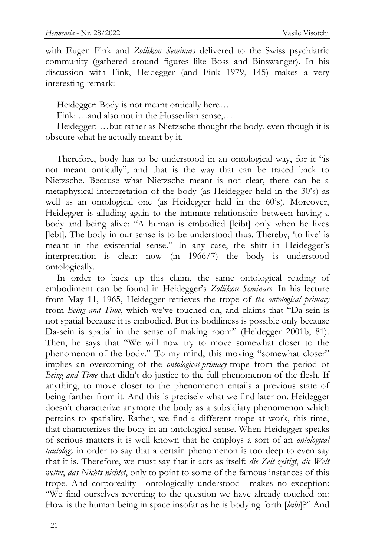with Eugen Fink and *Zollikon Seminars* delivered to the Swiss psychiatric community (gathered around figures like Boss and Binswanger). In his discussion with Fink, Heidegger (and Fink 1979, 145) makes a very interesting remark:

Heidegger: Body is not meant ontically here…

Fink: …and also not in the Husserlian sense,…

Heidegger: …but rather as Nietzsche thought the body, even though it is obscure what he actually meant by it.

Therefore, body has to be understood in an ontological way, for it "is not meant ontically", and that is the way that can be traced back to Nietzsche. Because what Nietzsche meant is not clear, there can be a metaphysical interpretation of the body (as Heidegger held in the 30"s) as well as an ontological one (as Heidegger held in the 60"s). Moreover, Heidegger is alluding again to the intimate relationship between having a body and being alive: "A human is embodied [leibt] only when he lives [lebt]. The body in our sense is to be understood thus. Thereby, 'to live' is meant in the existential sense." In any case, the shift in Heidegger's interpretation is clear: now (in 1966/7) the body is understood ontologically.

In order to back up this claim, the same ontological reading of embodiment can be found in Heidegger"s *Zollikon Seminars*. In his lecture from May 11, 1965, Heidegger retrieves the trope of *the ontological primacy*  from *Being and Time*, which we've touched on, and claims that "Da-sein is not spatial because it is embodied. But its bodiliness is possible only because Da-sein is spatial in the sense of making room" (Heidegger 2001b, 81). Then, he says that "We will now try to move somewhat closer to the phenomenon of the body." To my mind, this moving "somewhat closer" implies an overcoming of the *ontological-primacy*-trope from the period of *Being and Time* that didn"t do justice to the full phenomenon of the flesh. If anything, to move closer to the phenomenon entails a previous state of being farther from it. And this is precisely what we find later on. Heidegger doesn't characterize anymore the body as a subsidiary phenomenon which pertains to spatiality. Rather, we find a different trope at work, this time, that characterizes the body in an ontological sense. When Heidegger speaks of serious matters it is well known that he employs a sort of an *ontological tautology* in order to say that a certain phenomenon is too deep to even say that it is. Therefore, we must say that it acts as itself: *die Zeit zeitigt*, *die Welt weltet*, *das Nichts nichtet*, only to point to some of the famous instances of this trope. And corporeality—ontologically understood—makes no exception: "We find ourselves reverting to the question we have already touched on: How is the human being in space insofar as he is bodying forth [*leibt*]?" And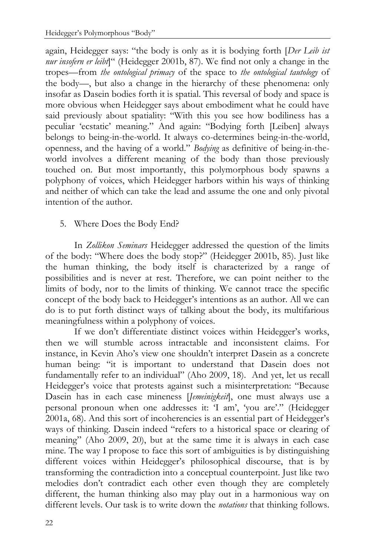again, Heidegger says: "the body is only as it is bodying forth [*Der Leib ist nur insofern er leibt*]" (Heidegger 2001b, 87). We find not only a change in the tropes—from *the ontological primacy* of the space to *the ontological tautology* of the body—, but also a change in the hierarchy of these phenomena: only insofar as Dasein bodies forth it is spatial. This reversal of body and space is more obvious when Heidegger says about embodiment what he could have said previously about spatiality: "With this you see how bodiliness has a peculiar "ecstatic" meaning." And again: "Bodying forth [Leiben] always belongs to being-in-the-world. It always co-determines being-in-the-world, openness, and the having of a world." *Bodying* as definitive of being-in-theworld involves a different meaning of the body than those previously touched on. But most importantly, this polymorphous body spawns a polyphony of voices, which Heidegger harbors within his ways of thinking and neither of which can take the lead and assume the one and only pivotal intention of the author.

## 5. Where Does the Body End?

In *Zollikon Seminars* Heidegger addressed the question of the limits of the body: "Where does the body stop?" (Heidegger 2001b, 85). Just like the human thinking, the body itself is characterized by a range of possibilities and is never at rest. Therefore, we can point neither to the limits of body, nor to the limits of thinking. We cannot trace the specific concept of the body back to Heidegger's intentions as an author. All we can do is to put forth distinct ways of talking about the body, its multifarious meaningfulness within a polyphony of voices.

If we don't differentiate distinct voices within Heidegger's works, then we will stumble across intractable and inconsistent claims. For instance, in Kevin Aho"s view one shouldn"t interpret Dasein as a concrete human being: "it is important to understand that Dasein does not fundamentally refer to an individual" (Aho 2009, 18). And yet, let us recall Heidegger's voice that protests against such a misinterpretation: "Because Dasein has in each case mineness [*Jemeinigkeit*], one must always use a personal pronoun when one addresses it: 'I am', 'you are'." (Heidegger 2001a, 68). And this sort of incoherencies is an essential part of Heidegger"s ways of thinking. Dasein indeed "refers to a historical space or clearing of meaning" (Aho 2009, 20), but at the same time it is always in each case mine. The way I propose to face this sort of ambiguities is by distinguishing different voices within Heidegger's philosophical discourse, that is by transforming the contradiction into a conceptual counterpoint. Just like two melodies don"t contradict each other even though they are completely different, the human thinking also may play out in a harmonious way on different levels. Our task is to write down the *notations* that thinking follows.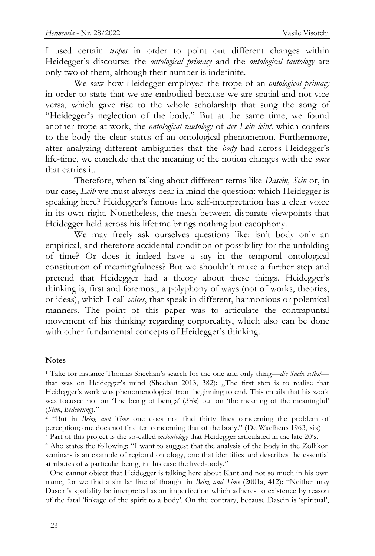I used certain *tropes* in order to point out different changes within Heidegger"s discourse: the *ontological primacy* and the *ontological tautology* are only two of them, although their number is indefinite.

We saw how Heidegger employed the trope of an *ontological primacy*  in order to state that we are embodied because we are spatial and not vice versa, which gave rise to the whole scholarship that sung the song of "Heidegger's neglection of the body." But at the same time, we found another trope at work, the *ontological tautology* of *der Leib leibt,* which confers to the body the clear status of an ontological phenomenon. Furthermore, after analyzing different ambiguities that the *body* had across Heidegger"s life-time, we conclude that the meaning of the notion changes with the *voice*  that carries it.

Therefore, when talking about different terms like *Dasein, Sein* or, in our case, *Leib* we must always bear in mind the question: which Heidegger is speaking here? Heidegger's famous late self-interpretation has a clear voice in its own right. Nonetheless, the mesh between disparate viewpoints that Heidegger held across his lifetime brings nothing but cacophony.

We may freely ask ourselves questions like: isn't body only an empirical, and therefore accidental condition of possibility for the unfolding of time? Or does it indeed have a say in the temporal ontological constitution of meaningfulness? But we shouldn"t make a further step and pretend that Heidegger had a theory about these things. Heidegger"s thinking is, first and foremost, a polyphony of ways (not of works, theories, or ideas), which I call *voices*, that speak in different, harmonious or polemical manners. The point of this paper was to articulate the contrapuntal movement of his thinking regarding corporeality, which also can be done with other fundamental concepts of Heidegger's thinking.

#### **Notes**

<sup>1</sup> Take for instance Thomas Sheehan"s search for the one and only thing—*die Sache selbst* that was on Heidegger's mind (Sheehan 2013, 382): "The first step is to realize that Heidegger's work was phenomenological from beginning to end. This entails that his work was focused not on 'The being of beings' (*Sein*) but on 'the meaning of the meaningful' (*Sinn*, *Bedeutung*)."

<sup>2</sup> "But in *Being and Time* one does not find thirty lines concerning the problem of perception; one does not find ten concerning that of the body." (De Waelhens 1963, xix) <sup>3</sup> Part of this project is the so-called *metontology* that Heidegger articulated in the late 20"s.

<sup>4</sup> Aho states the following: "I want to suggest that the analysis of the body in the Zollikon seminars is an example of regional ontology, one that identifies and describes the essential attributes of *a* particular being, in this case the lived-body."

<sup>5</sup> One cannot object that Heidegger is talking here about Kant and not so much in his own name, for we find a similar line of thought in *Being and Time* (2001a, 412): "Neither may Dasein"s spatiality be interpreted as an imperfection which adheres to existence by reason of the fatal "linkage of the spirit to a body". On the contrary, because Dasein is "spiritual",